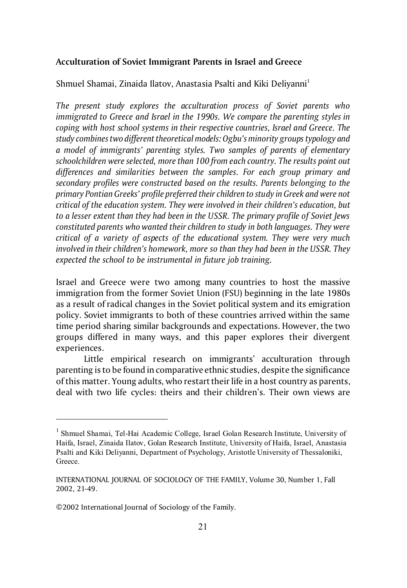### **Acculturation of Soviet Immigrant Parents in Israel and Greece**

Shmuel Shamai, Zinaida Ilatov, Anastasia Psalti and Kiki Deliyanni<sup>1</sup>

*The present study explores the acculturation process of Soviet parents who immigrated to Greece and Israel in the 1990s. We compare the parenting styles in coping with host school systems in their respective countries, Israel and Greece. The study combines two different theoretical models: Ogbu's minority groups typology and a model of immigrants' parenting styles. Two samples of parents of elementary schoolchildren were selected, more than 100 from each country. The results point out differences and similarities between the samples. For each group primary and secondary profiles were constructed based on the results. Parents belonging to the primary Pontian Greeks' profile preferred their children to study in Greek and were not critical of the education system. They were involved in their children's education, but to a lesser extent than they had been in the USSR. The primary profile of Soviet Jews constituted parents who wanted their children to study in both languages. They were critical of a variety of aspects of the educational system. They were very much involved in their children's homework, more so than they had been in the USSR. They expected the school to be instrumental in future job training.*

Israel and Greece were two among many countries to host the massive immigration from the former Soviet Union (FSU) beginning in the late 1980s as a result of radical changes in the Soviet political system and its emigration policy. Soviet immigrants to both of these countries arrived within the same time period sharing similar backgrounds and expectations. However, the two groups differed in many ways, and this paper explores their divergent experiences.

Little empirical research on immigrants' acculturation through parenting is to be found in comparative ethnic studies, despite the significance of this matter. Young adults, who restart their life in a host country as parents, deal with two life cycles: theirs and their children's. Their own views are

<sup>&</sup>lt;sup>1</sup> Shmuel Shamai, Tel-Hai Academic College, Israel Golan Research Institute, University of Haifa, Israel, Zinaida Ilatov, Golan Research Institute, University of Haifa, Israel, Anastasia Psalti and Kiki Deliyanni, Department of Psychology, Aristotle University of Thessaloniki, Greece.

INTERNATIONAL JOURNAL OF SOCIOLOGY OF THE FAMILY, Volume 30, Number 1, Fall 2002, 21-49.

<sup>©2002</sup> International Journal of Sociology of the Family.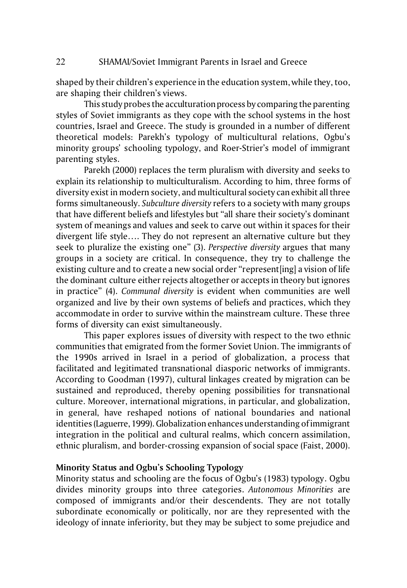shaped by their children's experience in the education system, while they, too, are shaping their children's views.

This study probes the acculturation process by comparing the parenting styles of Soviet immigrants as they cope with the school systems in the host countries, Israel and Greece. The study is grounded in a number of different theoretical models: Parekh's typology of multicultural relations, Ogbu's minority groups' schooling typology, and Roer-Strier's model of immigrant parenting styles.

Parekh (2000) replaces the term pluralism with diversity and seeks to explain its relationship to multiculturalism. According to him, three forms of diversity exist in modern society, and multicultural society can exhibit all three forms simultaneously. *Subculture diversity* refers to a society with many groups that have different beliefs and lifestyles but "all share their society's dominant system of meanings and values and seek to carve out within it spaces for their divergent life style…. They do not represent an alternative culture but they seek to pluralize the existing one" (3). *Perspective diversity* argues that many groups in a society are critical. In consequence, they try to challenge the existing culture and to create a new social order "represent[ing] a vision of life the dominant culture either rejects altogether or accepts in theory but ignores in practice" (4). *Communal diversity* is evident when communities are well organized and live by their own systems of beliefs and practices, which they accommodate in order to survive within the mainstream culture. These three forms of diversity can exist simultaneously.

This paper explores issues of diversity with respect to the two ethnic communities that emigrated from the former Soviet Union. The immigrants of the 1990s arrived in Israel in a period of globalization, a process that facilitated and legitimated transnational diasporic networks of immigrants. According to Goodman (1997), cultural linkages created by migration can be sustained and reproduced, thereby opening possibilities for transnational culture. Moreover, international migrations, in particular, and globalization, in general, have reshaped notions of national boundaries and national identities (Laguerre, 1999). Globalization enhances understanding of immigrant integration in the political and cultural realms, which concern assimilation, ethnic pluralism, and border-crossing expansion of social space (Faist, 2000).

# **Minority Status and Ogbu's Schooling Typology**

Minority status and schooling are the focus of Ogbu's (1983) typology. Ogbu divides minority groups into three categories. *Autonomous Minorities* are composed of immigrants and/or their descendents. They are not totally subordinate economically or politically, nor are they represented with the ideology of innate inferiority, but they may be subject to some prejudice and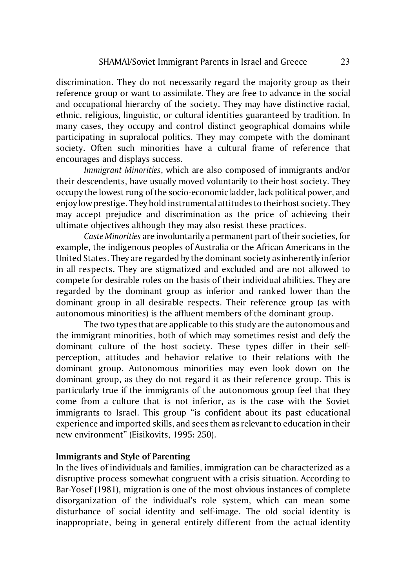discrimination. They do not necessarily regard the majority group as their reference group or want to assimilate. They are free to advance in the social and occupational hierarchy of the society. They may have distinctive racial, ethnic, religious, linguistic, or cultural identities guaranteed by tradition. In many cases, they occupy and control distinct geographical domains while participating in supralocal politics. They may compete with the dominant society. Often such minorities have a cultural frame of reference that encourages and displays success.

*Immigrant Minorities*, which are also composed of immigrants and/or their descendents, have usually moved voluntarily to their host society. They occupy the lowest rung of the socio-economic ladder, lack political power, and enjoy low prestige. They hold instrumental attitudes to their host society. They may accept prejudice and discrimination as the price of achieving their ultimate objectives although they may also resist these practices.

*Caste Minorities* are involuntarily a permanent part of their societies, for example, the indigenous peoples of Australia or the African Americans in the United States. They are regarded by the dominant society as inherently inferior in all respects. They are stigmatized and excluded and are not allowed to compete for desirable roles on the basis of their individual abilities. They are regarded by the dominant group as inferior and ranked lower than the dominant group in all desirable respects. Their reference group (as with autonomous minorities) is the affluent members of the dominant group.

The two types that are applicable to this study are the autonomous and the immigrant minorities, both of which may sometimes resist and defy the dominant culture of the host society. These types differ in their selfperception, attitudes and behavior relative to their relations with the dominant group. Autonomous minorities may even look down on the dominant group, as they do not regard it as their reference group. This is particularly true if the immigrants of the autonomous group feel that they come from a culture that is not inferior, as is the case with the Soviet immigrants to Israel. This group "is confident about its past educational experience and imported skills, and sees them as relevant to education in their new environment" (Eisikovits, 1995: 250).

## **Immigrants and Style of Parenting**

In the lives of individuals and families, immigration can be characterized as a disruptive process somewhat congruent with a crisis situation. According to Bar-Yosef (1981), migration is one of the most obvious instances of complete disorganization of the individual's role system, which can mean some disturbance of social identity and self-image. The old social identity is inappropriate, being in general entirely different from the actual identity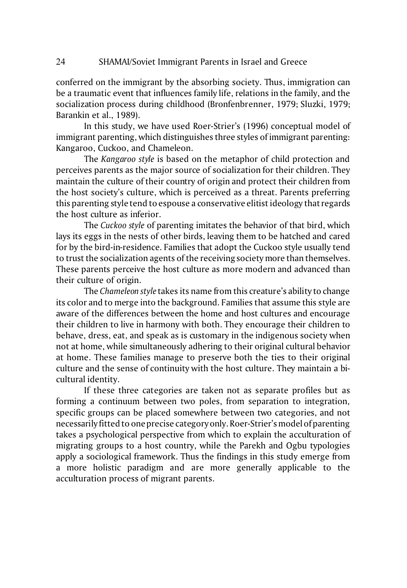conferred on the immigrant by the absorbing society. Thus, immigration can be a traumatic event that influences family life, relations in the family, and the socialization process during childhood (Bronfenbrenner, 1979; Sluzki, 1979; Barankin et al., 1989).

In this study, we have used Roer-Strier's (1996) conceptual model of immigrant parenting, which distinguishes three styles of immigrant parenting: Kangaroo, Cuckoo, and Chameleon.

The *Kangaroo style* is based on the metaphor of child protection and perceives parents as the major source of socialization for their children. They maintain the culture of their country of origin and protect their children from the host society's culture, which is perceived as a threat. Parents preferring this parenting style tend to espouse a conservative elitist ideology that regards the host culture as inferior.

The *Cuckoo style* of parenting imitates the behavior of that bird, which lays its eggs in the nests of other birds, leaving them to be hatched and cared for by the bird-in-residence. Families that adopt the Cuckoo style usually tend to trust the socialization agents of the receiving society more than themselves. These parents perceive the host culture as more modern and advanced than their culture of origin.

The *Chameleon style* takes its name from this creature's ability to change its color and to merge into the background. Families that assume this style are aware of the differences between the home and host cultures and encourage their children to live in harmony with both. They encourage their children to behave, dress, eat, and speak as is customary in the indigenous society when not at home, while simultaneously adhering to their original cultural behavior at home. These families manage to preserve both the ties to their original culture and the sense of continuity with the host culture. They maintain a bicultural identity.

If these three categories are taken not as separate profiles but as forming a continuum between two poles, from separation to integration, specific groups can be placed somewhere between two categories, and not necessarily fitted to one precise category only. Roer-Strier's model of parenting takes a psychological perspective from which to explain the acculturation of migrating groups to a host country, while the Parekh and Ogbu typologies apply a sociological framework. Thus the findings in this study emerge from a more holistic paradigm and are more generally applicable to the acculturation process of migrant parents.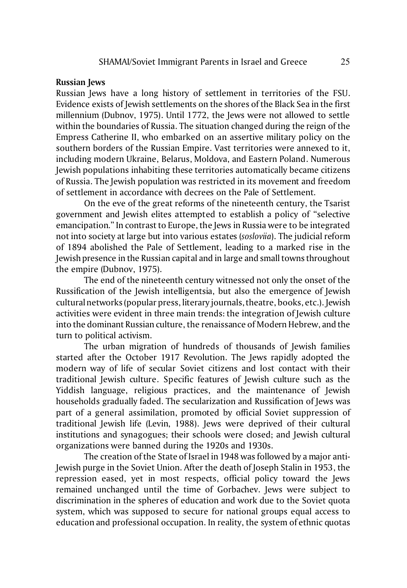#### **Russian Jews**

Russian Jews have a long history of settlement in territories of the FSU. Evidence exists of Jewish settlements on the shores of the Black Sea in the first millennium (Dubnov, 1975). Until 1772, the Jews were not allowed to settle within the boundaries of Russia. The situation changed during the reign of the Empress Catherine II, who embarked on an assertive military policy on the southern borders of the Russian Empire. Vast territories were annexed to it, including modern Ukraine, Belarus, Moldova, and Eastern Poland. Numerous Jewish populations inhabiting these territories automatically became citizens of Russia. The Jewish population was restricted in its movement and freedom of settlement in accordance with decrees on the Pale of Settlement.

On the eve of the great reforms of the nineteenth century, the Tsarist government and Jewish elites attempted to establish a policy of "selective emancipation." In contrast to Europe, the Jews in Russia were to be integrated not into society at large but into various estates (*sosloviia*). The judicial reform of 1894 abolished the Pale of Settlement, leading to a marked rise in the Jewish presence in the Russian capital and in large and small towns throughout the empire (Dubnov, 1975).

The end of the nineteenth century witnessed not only the onset of the Russification of the Jewish intelligentsia, but also the emergence of Jewish cultural networks (popular press, literary journals, theatre, books, etc.). Jewish activities were evident in three main trends: the integration of Jewish culture into the dominant Russian culture, the renaissance of Modern Hebrew, and the turn to political activism.

The urban migration of hundreds of thousands of Jewish families started after the October 1917 Revolution. The Jews rapidly adopted the modern way of life of secular Soviet citizens and lost contact with their traditional Jewish culture. Specific features of Jewish culture such as the Yiddish language, religious practices, and the maintenance of Jewish households gradually faded. The secularization and Russification of Jews was part of a general assimilation, promoted by official Soviet suppression of traditional Jewish life (Levin, 1988). Jews were deprived of their cultural institutions and synagogues; their schools were closed; and Jewish cultural organizations were banned during the 1920s and 1930s.

The creation of the State of Israel in 1948 was followed by a major anti-Jewish purge in the Soviet Union. After the death of Joseph Stalin in 1953, the repression eased, yet in most respects, official policy toward the Jews remained unchanged until the time of Gorbachev. Jews were subject to discrimination in the spheres of education and work due to the Soviet quota system, which was supposed to secure for national groups equal access to education and professional occupation. In reality, the system of ethnic quotas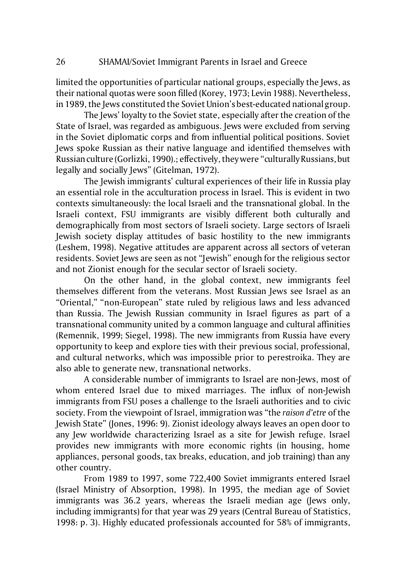limited the opportunities of particular national groups, especially the Jews, as their national quotas were soon filled (Korey, 1973; Levin 1988). Nevertheless, in 1989, the Jews constituted the Soviet Union's best-educated national group.

The Jews' loyalty to the Soviet state, especially after the creation of the State of Israel, was regarded as ambiguous. Jews were excluded from serving in the Soviet diplomatic corps and from influential political positions. Soviet Jews spoke Russian as their native language and identified themselves with Russian culture (Gorlizki, 1990).; effectively, they were "culturally Russians, but legally and socially Jews" (Gitelman, 1972).

The Jewish immigrants' cultural experiences of their life in Russia play an essential role in the acculturation process in Israel. This is evident in two contexts simultaneously: the local Israeli and the transnational global. In the Israeli context, FSU immigrants are visibly different both culturally and demographically from most sectors of Israeli society. Large sectors of Israeli Jewish society display attitudes of basic hostility to the new immigrants (Leshem, 1998). Negative attitudes are apparent across all sectors of veteran residents. Soviet Jews are seen as not "Jewish" enough for the religious sector and not Zionist enough for the secular sector of Israeli society.

On the other hand, in the global context, new immigrants feel themselves different from the veterans. Most Russian Jews see Israel as an "Oriental," "non-European" state ruled by religious laws and less advanced than Russia. The Jewish Russian community in Israel figures as part of a transnational community united by a common language and cultural affinities (Remennik, 1999; Siegel, 1998). The new immigrants from Russia have every opportunity to keep and explore ties with their previous social, professional, and cultural networks, which was impossible prior to perestroika. They are also able to generate new, transnational networks.

A considerable number of immigrants to Israel are non-Jews, most of whom entered Israel due to mixed marriages. The influx of non-Jewish immigrants from FSU poses a challenge to the Israeli authorities and to civic society. From the viewpoint of Israel, immigration was "the *raison d'etre* of the Jewish State" (Jones, 1996: 9). Zionist ideology always leaves an open door to any Jew worldwide characterizing Israel as a site for Jewish refuge. Israel provides new immigrants with more economic rights (in housing, home appliances, personal goods, tax breaks, education, and job training) than any other country.

From 1989 to 1997, some 722,400 Soviet immigrants entered Israel (Israel Ministry of Absorption, 1998). In 1995, the median age of Soviet immigrants was 36.2 years, whereas the Israeli median age (Jews only, including immigrants) for that year was 29 years (Central Bureau of Statistics, 1998: p. 3). Highly educated professionals accounted for 58% of immigrants,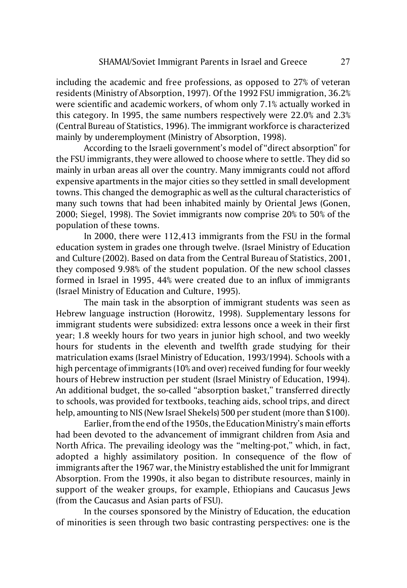including the academic and free professions, as opposed to 27% of veteran residents (Ministry of Absorption, 1997). Of the 1992 FSU immigration, 36.2% were scientific and academic workers, of whom only 7.1% actually worked in this category. In 1995, the same numbers respectively were 22.0% and 2.3% (Central Bureau of Statistics, 1996). The immigrant workforce is characterized mainly by underemployment (Ministry of Absorption, 1998).

According to the Israeli government's model of "direct absorption" for the FSU immigrants, they were allowed to choose where to settle. They did so mainly in urban areas all over the country. Many immigrants could not afford expensive apartments in the major cities so they settled in small development towns. This changed the demographic as well as the cultural characteristics of many such towns that had been inhabited mainly by Oriental Jews (Gonen, 2000; Siegel, 1998). The Soviet immigrants now comprise 20% to 50% of the population of these towns.

In 2000, there were 112,413 immigrants from the FSU in the formal education system in grades one through twelve. (Israel Ministry of Education and Culture (2002). Based on data from the Central Bureau of Statistics, 2001, they composed 9.98% of the student population. Of the new school classes formed in Israel in 1995, 44% were created due to an influx of immigrants (Israel Ministry of Education and Culture, 1995).

The main task in the absorption of immigrant students was seen as Hebrew language instruction (Horowitz, 1998). Supplementary lessons for immigrant students were subsidized: extra lessons once a week in their first year; 1.8 weekly hours for two years in junior high school, and two weekly hours for students in the eleventh and twelfth grade studying for their matriculation exams (Israel Ministry of Education, 1993/1994). Schools with a high percentage of immigrants (10% and over) received funding for four weekly hours of Hebrew instruction per student (Israel Ministry of Education, 1994). An additional budget, the so-called "absorption basket," transferred directly to schools, was provided for textbooks, teaching aids, school trips, and direct help, amounting to NIS (New Israel Shekels) 500 per student (more than \$100).

Earlier, from the end of the 1950s, the Education Ministry's main efforts had been devoted to the advancement of immigrant children from Asia and North Africa. The prevailing ideology was the "melting-pot," which, in fact, adopted a highly assimilatory position. In consequence of the flow of immigrants after the 1967 war, the Ministry established the unit for Immigrant Absorption. From the 1990s, it also began to distribute resources, mainly in support of the weaker groups, for example, Ethiopians and Caucasus Jews (from the Caucasus and Asian parts of FSU).

In the courses sponsored by the Ministry of Education, the education of minorities is seen through two basic contrasting perspectives: one is the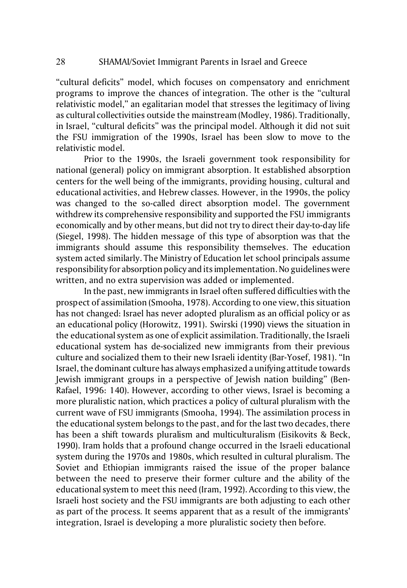"cultural deficits" model, which focuses on compensatory and enrichment programs to improve the chances of integration. The other is the "cultural relativistic model," an egalitarian model that stresses the legitimacy of living as cultural collectivities outside the mainstream (Modley, 1986). Traditionally, in Israel, "cultural deficits" was the principal model. Although it did not suit the FSU immigration of the 1990s, Israel has been slow to move to the relativistic model.

Prior to the 1990s, the Israeli government took responsibility for national (general) policy on immigrant absorption. It established absorption centers for the well being of the immigrants, providing housing, cultural and educational activities, and Hebrew classes. However, in the 1990s, the policy was changed to the so-called direct absorption model. The government withdrew its comprehensive responsibility and supported the FSU immigrants economically and by other means, but did not try to direct their day-to-day life (Siegel, 1998). The hidden message of this type of absorption was that the immigrants should assume this responsibility themselves. The education system acted similarly. The Ministry of Education let school principals assume responsibility for absorption policy and its implementation. No guidelines were written, and no extra supervision was added or implemented.

In the past, new immigrants in Israel often suffered difficulties with the prospect of assimilation (Smooha, 1978). According to one view, this situation has not changed: Israel has never adopted pluralism as an official policy or as an educational policy (Horowitz, 1991). Swirski (1990) views the situation in the educational system as one of explicit assimilation. Traditionally, the Israeli educational system has de-socialized new immigrants from their previous culture and socialized them to their new Israeli identity (Bar-Yosef, 1981). "In Israel, the dominant culture has always emphasized a unifying attitude towards Jewish immigrant groups in a perspective of Jewish nation building" (Ben-Rafael, 1996: 140). However, according to other views, Israel is becoming a more pluralistic nation, which practices a policy of cultural pluralism with the current wave of FSU immigrants (Smooha, 1994). The assimilation process in the educational system belongs to the past, and for the last two decades, there has been a shift towards pluralism and multiculturalism (Eisikovits & Beck, 1990). Iram holds that a profound change occurred in the Israeli educational system during the 1970s and 1980s, which resulted in cultural pluralism. The Soviet and Ethiopian immigrants raised the issue of the proper balance between the need to preserve their former culture and the ability of the educational system to meet this need (Iram, 1992). According to this view, the Israeli host society and the FSU immigrants are both adjusting to each other as part of the process. It seems apparent that as a result of the immigrants' integration, Israel is developing a more pluralistic society then before.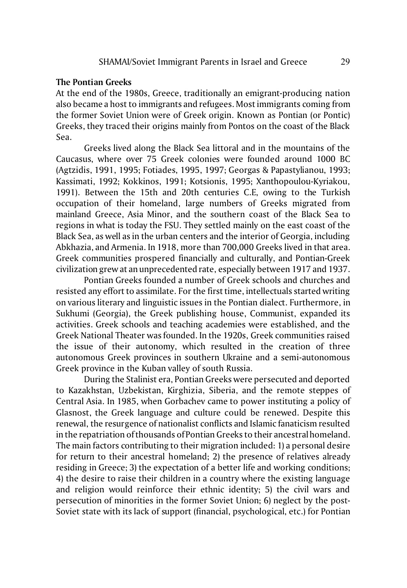#### **The Pontian Greeks**

At the end of the 1980s, Greece, traditionally an emigrant-producing nation also became a host to immigrants and refugees. Most immigrants coming from the former Soviet Union were of Greek origin. Known as Pontian (or Pontic) Greeks, they traced their origins mainly from Pontos on the coast of the Black Sea.

Greeks lived along the Black Sea littoral and in the mountains of the Caucasus, where over 75 Greek colonies were founded around 1000 BC (Agtzidis, 1991, 1995; Fotiades, 1995, 1997; Georgas & Papastylianou, 1993; Kassimati, 1992; Kokkinos, 1991; Kotsionis, 1995; Xanthopoulou-Kyriakou, 1991). Between the 15th and 20th centuries C.E, owing to the Turkish occupation of their homeland, large numbers of Greeks migrated from mainland Greece, Asia Minor, and the southern coast of the Black Sea to regions in what is today the FSU. They settled mainly on the east coast of the Black Sea, as well as in the urban centers and the interior of Georgia, including Abkhazia, and Armenia. In 1918, more than 700,000 Greeks lived in that area. Greek communities prospered financially and culturally, and Pontian-Greek civilization grew at an unprecedented rate, especially between 1917 and 1937.

Pontian Greeks founded a number of Greek schools and churches and resisted any effort to assimilate. For the first time, intellectuals started writing on various literary and linguistic issues in the Pontian dialect. Furthermore, in Sukhumi (Georgia), the Greek publishing house, Communist, expanded its activities. Greek schools and teaching academies were established, and the Greek National Theater was founded. In the 1920s, Greek communities raised the issue of their autonomy, which resulted in the creation of three autonomous Greek provinces in southern Ukraine and a semi-autonomous Greek province in the Kuban valley of south Russia.

During the Stalinist era, Pontian Greeks were persecuted and deported to Kazakhstan, Uzbekistan, Kirghizia, Siberia, and the remote steppes of Central Asia. In 1985, when Gorbachev came to power instituting a policy of Glasnost, the Greek language and culture could be renewed. Despite this renewal, the resurgence of nationalist conflicts and Islamic fanaticism resulted in the repatriation of thousands of Pontian Greeks to their ancestral homeland. The main factors contributing to their migration included: 1) a personal desire for return to their ancestral homeland; 2) the presence of relatives already residing in Greece; 3) the expectation of a better life and working conditions; 4) the desire to raise their children in a country where the existing language and religion would reinforce their ethnic identity; 5) the civil wars and persecution of minorities in the former Soviet Union; 6) neglect by the post-Soviet state with its lack of support (financial, psychological, etc.) for Pontian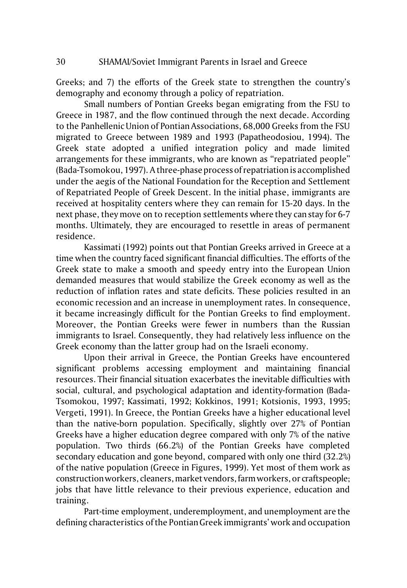Greeks; and 7) the efforts of the Greek state to strengthen the country's demography and economy through a policy of repatriation.

Small numbers of Pontian Greeks began emigrating from the FSU to Greece in 1987, and the flow continued through the next decade. According to the Panhellenic Union of Pontian Associations, 68,000 Greeks from the FSU migrated to Greece between 1989 and 1993 (Papatheodosiou, 1994). The Greek state adopted a unified integration policy and made limited arrangements for these immigrants, who are known as "repatriated people" (Bada-Tsomokou, 1997). A three-phase process of repatriation is accomplished under the aegis of the National Foundation for the Reception and Settlement of Repatriated People of Greek Descent. In the initial phase, immigrants are received at hospitality centers where they can remain for 15-20 days. In the next phase, they move on to reception settlements where they can stay for 6-7 months. Ultimately, they are encouraged to resettle in areas of permanent residence.

Kassimati (1992) points out that Pontian Greeks arrived in Greece at a time when the country faced significant financial difficulties. The efforts of the Greek state to make a smooth and speedy entry into the European Union demanded measures that would stabilize the Greek economy as well as the reduction of inflation rates and state deficits. These policies resulted in an economic recession and an increase in unemployment rates. In consequence, it became increasingly difficult for the Pontian Greeks to find employment. Moreover, the Pontian Greeks were fewer in numbers than the Russian immigrants to Israel. Consequently, they had relatively less influence on the Greek economy than the latter group had on the Israeli economy.

Upon their arrival in Greece, the Pontian Greeks have encountered significant problems accessing employment and maintaining financial resources. Their financial situation exacerbates the inevitable difficulties with social, cultural, and psychological adaptation and identity-formation (Bada-Tsomokou, 1997; Kassimati, 1992; Kokkinos, 1991; Kotsionis, 1993, 1995; Vergeti, 1991). In Greece, the Pontian Greeks have a higher educational level than the native-born population. Specifically, slightly over 27% of Pontian Greeks have a higher education degree compared with only 7% of the native population. Two thirds (66.2%) of the Pontian Greeks have completed secondary education and gone beyond, compared with only one third (32.2%) of the native population (Greece in Figures, 1999). Yet most of them work as construction workers, cleaners, market vendors, farm workers, or craftspeople; jobs that have little relevance to their previous experience, education and training.

Part-time employment, underemployment, and unemployment are the defining characteristics of the Pontian Greek immigrants' work and occupation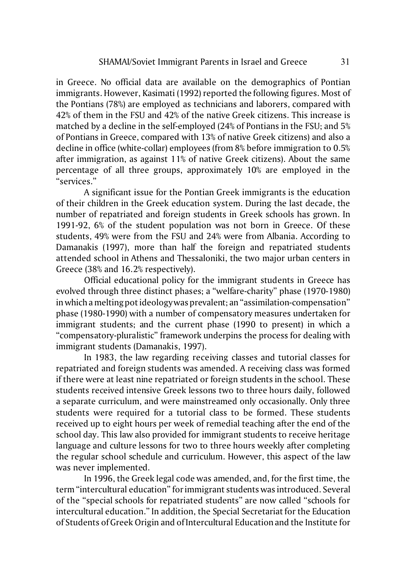in Greece. No official data are available on the demographics of Pontian immigrants. However, Kasimati (1992) reported the following figures. Most of the Pontians (78%) are employed as technicians and laborers, compared with 42% of them in the FSU and 42% of the native Greek citizens. This increase is matched by a decline in the self-employed (24% of Pontians in the FSU; and 5% of Pontians in Greece, compared with 13% of native Greek citizens) and also a decline in office (white-collar) employees (from 8% before immigration to 0.5% after immigration, as against 11% of native Greek citizens). About the same percentage of all three groups, approximately 10% are employed in the "services."

A significant issue for the Pontian Greek immigrants is the education of their children in the Greek education system. During the last decade, the number of repatriated and foreign students in Greek schools has grown. In 1991-92, 6% of the student population was not born in Greece. Of these students, 49% were from the FSU and 24% were from Albania. According to Damanakis (1997), more than half the foreign and repatriated students attended school in Athens and Thessaloniki, the two major urban centers in Greece (38% and 16.2% respectively).

Official educational policy for the immigrant students in Greece has evolved through three distinct phases; a "welfare-charity" phase (1970-1980) in which a melting pot ideology was prevalent; an "assimilation-compensation" phase (1980-1990) with a number of compensatory measures undertaken for immigrant students; and the current phase (1990 to present) in which a "compensatory-pluralistic" framework underpins the process for dealing with immigrant students (Damanakis, 1997).

In 1983, the law regarding receiving classes and tutorial classes for repatriated and foreign students was amended. A receiving class was formed if there were at least nine repatriated or foreign students in the school. These students received intensive Greek lessons two to three hours daily, followed a separate curriculum, and were mainstreamed only occasionally. Only three students were required for a tutorial class to be formed. These students received up to eight hours per week of remedial teaching after the end of the school day. This law also provided for immigrant students to receive heritage language and culture lessons for two to three hours weekly after completing the regular school schedule and curriculum. However, this aspect of the law was never implemented.

In 1996, the Greek legal code was amended, and, for the first time, the term "intercultural education" for immigrant students was introduced. Several of the "special schools for repatriated students" are now called "schools for intercultural education." In addition, the Special Secretariat for the Education of Students of Greek Origin and of Intercultural Education and the Institute for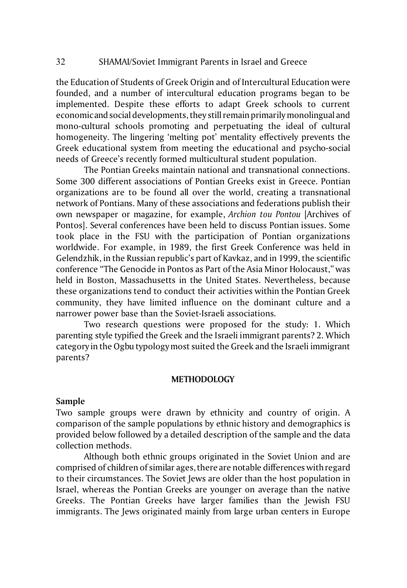the Education of Students of Greek Origin and of Intercultural Education were founded, and a number of intercultural education programs began to be implemented. Despite these efforts to adapt Greek schools to current economicand social developments, they still remain primarily monolingual and mono-cultural schools promoting and perpetuating the ideal of cultural homogeneity. The lingering 'melting pot' mentality effectively prevents the Greek educational system from meeting the educational and psycho-social needs of Greece's recently formed multicultural student population.

The Pontian Greeks maintain national and transnational connections. Some 300 different associations of Pontian Greeks exist in Greece. Pontian organizations are to be found all over the world, creating a transnational network of Pontians. Many of these associations and federations publish their own newspaper or magazine, for example, *Archion tou Pontou* [Archives of Pontos]. Several conferences have been held to discuss Pontian issues. Some took place in the FSU with the participation of Pontian organizations worldwide. For example, in 1989, the first Greek Conference was held in Gelendzhik, in the Russian republic's part of Kavkaz, and in 1999, the scientific conference "The Genocide in Pontos as Part of the Asia Minor Holocaust," was held in Boston, Massachusetts in the United States. Nevertheless, because these organizations tend to conduct their activities within the Pontian Greek community, they have limited influence on the dominant culture and a narrower power base than the Soviet-Israeli associations.

Two research questions were proposed for the study: 1. Which parenting style typified the Greek and the Israeli immigrant parents? 2. Which category in the Ogbu typology most suited the Greek and the Israeli immigrant parents?

### **METHODOLOGY**

#### **Sample**

Two sample groups were drawn by ethnicity and country of origin. A comparison of the sample populations by ethnic history and demographics is provided below followed by a detailed description of the sample and the data collection methods.

Although both ethnic groups originated in the Soviet Union and are comprised of children of similar ages, there are notable differences with regard to their circumstances. The Soviet Jews are older than the host population in Israel, whereas the Pontian Greeks are younger on average than the native Greeks. The Pontian Greeks have larger families than the Jewish FSU immigrants. The Jews originated mainly from large urban centers in Europe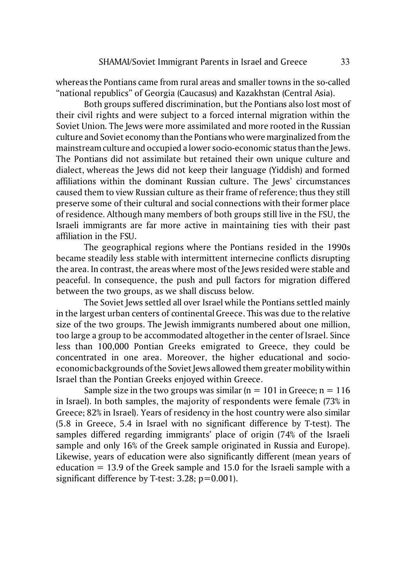whereas the Pontians came from rural areas and smaller towns in the so-called "national republics" of Georgia (Caucasus) and Kazakhstan (Central Asia).

Both groups suffered discrimination, but the Pontians also lost most of their civil rights and were subject to a forced internal migration within the Soviet Union. The Jews were more assimilated and more rooted in the Russian culture and Soviet economy than the Pontians who were marginalized from the mainstream culture and occupied a lower socio-economic status than the Jews. The Pontians did not assimilate but retained their own unique culture and dialect, whereas the Jews did not keep their language (Yiddish) and formed affiliations within the dominant Russian culture. The Jews' circumstances caused them to view Russian culture as their frame of reference; thus they still preserve some of their cultural and social connections with their former place of residence. Although many members of both groups still live in the FSU, the Israeli immigrants are far more active in maintaining ties with their past affiliation in the FSU.

The geographical regions where the Pontians resided in the 1990s became steadily less stable with intermittent internecine conflicts disrupting the area. In contrast, the areas where most of the Jews resided were stable and peaceful. In consequence, the push and pull factors for migration differed between the two groups, as we shall discuss below.

The Soviet Jews settled all over Israel while the Pontians settled mainly in the largest urban centers of continental Greece. This was due to the relative size of the two groups. The Jewish immigrants numbered about one million, too large a group to be accommodated altogether in the center of Israel. Since less than 100,000 Pontian Greeks emigrated to Greece, they could be concentrated in one area. Moreover, the higher educational and socioeconomic backgrounds of the Soviet Jews allowed them greater mobility within Israel than the Pontian Greeks enjoyed within Greece.

Sample size in the two groups was similar ( $n = 101$  in Greece;  $n = 116$ in Israel). In both samples, the majority of respondents were female (73% in Greece; 82% in Israel). Years of residency in the host country were also similar (5.8 in Greece, 5.4 in Israel with no significant difference by T-test). The samples differed regarding immigrants' place of origin (74% of the Israeli sample and only 16% of the Greek sample originated in Russia and Europe). Likewise, years of education were also significantly different (mean years of education = 13.9 of the Greek sample and 15.0 for the Israeli sample with a significant difference by T-test: 3.28; p=0.001).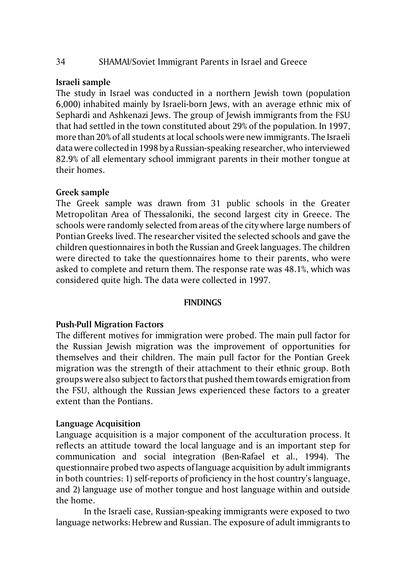## **Israeli sample**

The study in Israel was conducted in a northern Jewish town (population 6,000) inhabited mainly by Israeli-born Jews, with an average ethnic mix of Sephardi and Ashkenazi Jews. The group of Jewish immigrants from the FSU that had settled in the town constituted about 29% of the population. In 1997, more than 20% of all students at local schools were new immigrants. The Israeli data were collected in 1998 by a Russian-speaking researcher, who interviewed 82.9% of all elementary school immigrant parents in their mother tongue at their homes.

# **Greek sample**

The Greek sample was drawn from 31 public schools in the Greater Metropolitan Area of Thessaloniki, the second largest city in Greece. The schools were randomly selected from areas of the city where large numbers of Pontian Greeks lived. The researcher visited the selected schools and gave the children questionnaires in both the Russian and Greek languages. The children were directed to take the questionnaires home to their parents, who were asked to complete and return them. The response rate was 48.1%, which was considered quite high. The data were collected in 1997.

## **FINDINGS**

## **Push-Pull Migration Factors**

The different motives for immigration were probed. The main pull factor for the Russian Jewish migration was the improvement of opportunities for themselves and their children. The main pull factor for the Pontian Greek migration was the strength of their attachment to their ethnic group. Both groups were also subject to factors that pushed them towards emigration from the FSU, although the Russian Jews experienced these factors to a greater extent than the Pontians.

## **Language Acquisition**

Language acquisition is a major component of the acculturation process. It reflects an attitude toward the local language and is an important step for communication and social integration (Ben-Rafael et al., 1994). The questionnaire probed two aspects of language acquisition by adult immigrants in both countries: 1) self-reports of proficiency in the host country's language, and 2) language use of mother tongue and host language within and outside the home.

In the Israeli case, Russian-speaking immigrants were exposed to two language networks: Hebrew and Russian. The exposure of adult immigrants to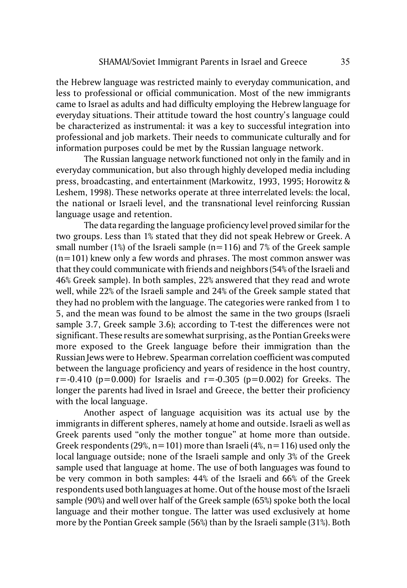the Hebrew language was restricted mainly to everyday communication, and less to professional or official communication. Most of the new immigrants came to Israel as adults and had difficulty employing the Hebrew language for everyday situations. Their attitude toward the host country's language could be characterized as instrumental: it was a key to successful integration into professional and job markets. Their needs to communicate culturally and for information purposes could be met by the Russian language network.

The Russian language network functioned not only in the family and in everyday communication, but also through highly developed media including press, broadcasting, and entertainment (Markowitz, 1993, 1995; Horowitz & Leshem, 1998). These networks operate at three interrelated levels: the local, the national or Israeli level, and the transnational level reinforcing Russian language usage and retention.

The data regarding the language proficiency level proved similar for the two groups. Less than 1% stated that they did not speak Hebrew or Greek. A small number (1%) of the Israeli sample ( $n=116$ ) and 7% of the Greek sample  $(n=101)$  knew only a few words and phrases. The most common answer was that they could communicate with friends and neighbors (54% of the Israeli and 46% Greek sample). In both samples, 22% answered that they read and wrote well, while 22% of the Israeli sample and 24% of the Greek sample stated that they had no problem with the language. The categories were ranked from 1 to 5, and the mean was found to be almost the same in the two groups (Israeli sample 3.7, Greek sample 3.6); according to T-test the differences were not significant. These results are somewhat surprising, as the Pontian Greeks were more exposed to the Greek language before their immigration than the Russian Jews were to Hebrew. Spearman correlation coefficient was computed between the language proficiency and years of residence in the host country,  $r = -0.410$  ( $p = 0.000$ ) for Israelis and  $r = -0.305$  ( $p = 0.002$ ) for Greeks. The longer the parents had lived in Israel and Greece, the better their proficiency with the local language.

Another aspect of language acquisition was its actual use by the immigrants in different spheres, namely at home and outside. Israeli as well as Greek parents used "only the mother tongue" at home more than outside. Greek respondents (29%,  $n=101$ ) more than Israeli (4%,  $n=116$ ) used only the local language outside; none of the Israeli sample and only 3% of the Greek sample used that language at home. The use of both languages was found to be very common in both samples: 44% of the Israeli and 66% of the Greek respondents used both languages at home. Out of the house most of the Israeli sample (90%) and well over half of the Greek sample (65%) spoke both the local language and their mother tongue. The latter was used exclusively at home more by the Pontian Greek sample (56%) than by the Israeli sample (31%). Both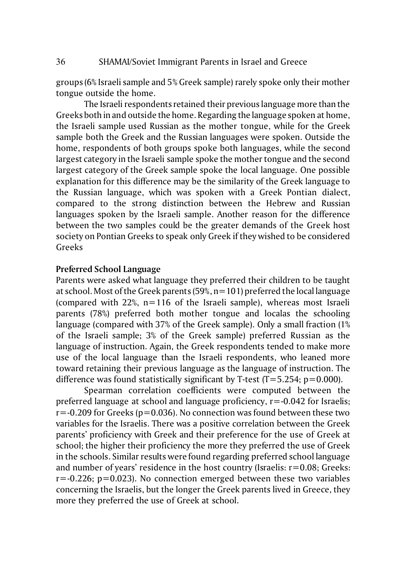groups (6% Israeli sample and 5% Greek sample) rarely spoke only their mother tongue outside the home.

The Israeli respondents retained their previous language more than the Greeks both in and outside the home. Regarding the language spoken at home, the Israeli sample used Russian as the mother tongue, while for the Greek sample both the Greek and the Russian languages were spoken. Outside the home, respondents of both groups spoke both languages, while the second largest category in the Israeli sample spoke the mother tongue and the second largest category of the Greek sample spoke the local language. One possible explanation for this difference may be the similarity of the Greek language to the Russian language, which was spoken with a Greek Pontian dialect, compared to the strong distinction between the Hebrew and Russian languages spoken by the Israeli sample. Another reason for the difference between the two samples could be the greater demands of the Greek host society on Pontian Greeks to speak only Greek if they wished to be considered Greeks

## **Preferred School Language**

Parents were asked what language they preferred their children to be taught at school. Most of the Greek parents (59%, n=101) preferred the local language (compared with 22%, n=116 of the Israeli sample), whereas most Israeli parents (78%) preferred both mother tongue and localas the schooling language (compared with 37% of the Greek sample). Only a small fraction (1% of the Israeli sample; 3% of the Greek sample) preferred Russian as the language of instruction. Again, the Greek respondents tended to make more use of the local language than the Israeli respondents, who leaned more toward retaining their previous language as the language of instruction. The difference was found statistically significant by T-test  $(T=5.254; p=0.000)$ .

Spearman correlation coefficients were computed between the preferred language at school and language proficiency, r=-0.042 for Israelis;  $r=-0.209$  for Greeks ( $p=0.036$ ). No connection was found between these two variables for the Israelis. There was a positive correlation between the Greek parents' proficiency with Greek and their preference for the use of Greek at school; the higher their proficiency the more they preferred the use of Greek in the schools. Similar results were found regarding preferred school language and number of years' residence in the host country (Israelis:  $r=0.08$ ; Greeks:  $r=-0.226$ ;  $p=0.023$ ). No connection emerged between these two variables concerning the Israelis, but the longer the Greek parents lived in Greece, they more they preferred the use of Greek at school.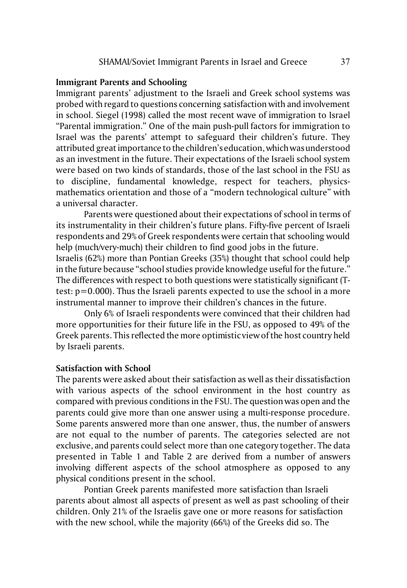#### **Immigrant Parents and Schooling**

Immigrant parents' adjustment to the Israeli and Greek school systems was probed with regard to questions concerning satisfaction with and involvement in school. Siegel (1998) called the most recent wave of immigration to Israel "Parental immigration." One of the main push-pull factors for immigration to Israel was the parents' attempt to safeguard their children's future. They attributed great importance to the children's education, which was understood as an investment in the future. Their expectations of the Israeli school system were based on two kinds of standards, those of the last school in the FSU as to discipline, fundamental knowledge, respect for teachers, physicsmathematics orientation and those of a "modern technological culture" with a universal character.

Parents were questioned about their expectations of school in terms of its instrumentality in their children's future plans. Fifty-five percent of Israeli respondents and 29% of Greek respondents were certain that schooling would help (much/very-much) their children to find good jobs in the future. Israelis (62%) more than Pontian Greeks (35%) thought that school could help in the future because "school studies provide knowledge useful for the future." The differences with respect to both questions were statistically significant (Ttest: p=0.000). Thus the Israeli parents expected to use the school in a more instrumental manner to improve their children's chances in the future.

Only 6% of Israeli respondents were convinced that their children had more opportunities for their future life in the FSU, as opposed to 49% of the Greek parents. This reflected the more optimistic view of the host country held by Israeli parents.

# **Satisfaction with School**

The parents were asked about their satisfaction as well as their dissatisfaction with various aspects of the school environment in the host country as compared with previous conditions in the FSU. The question was open and the parents could give more than one answer using a multi-response procedure. Some parents answered more than one answer, thus, the number of answers are not equal to the number of parents. The categories selected are not exclusive, and parents could select more than one category together. The data presented in Table 1 and Table 2 are derived from a number of answers involving different aspects of the school atmosphere as opposed to any physical conditions present in the school.

Pontian Greek parents manifested more satisfaction than Israeli parents about almost all aspects of present as well as past schooling of their children. Only 21% of the Israelis gave one or more reasons for satisfaction with the new school, while the majority (66%) of the Greeks did so. The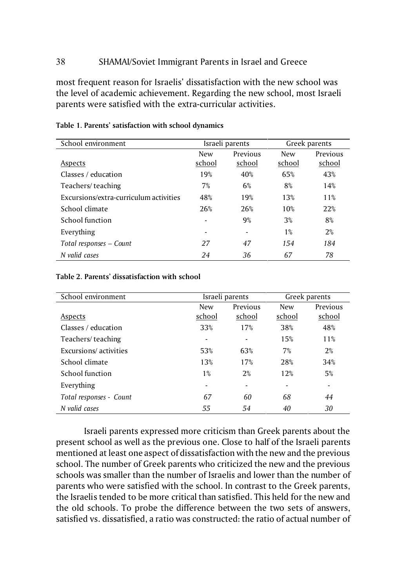most frequent reason for Israelis' dissatisfaction with the new school was the level of academic achievement. Regarding the new school, most Israeli parents were satisfied with the extra-curricular activities.

| School environment                     | Israeli parents |                          | Greek parents |          |
|----------------------------------------|-----------------|--------------------------|---------------|----------|
|                                        | <b>New</b>      | Previous                 | <b>New</b>    | Previous |
| Aspects                                | school          | school                   | school        | school   |
| Classes / education                    | 19%             | 40%                      | 65%           | 43%      |
| Teachers/teaching                      | 7%              | 6%                       | 8%            | 14%      |
| Excursions/extra-curriculum activities | 48%             | 19%                      | 13%           | 11%      |
| School climate                         | 26%             | 26%                      | 10%           | 22%      |
| School function                        | -               | 9%                       | 3%            | 8%       |
| Everything                             | -               | $\overline{\phantom{a}}$ | $1\%$         | 2%       |
| Total responses – Count                | 27              | 47                       | 154           | 184      |
| N valid cases                          | 24              | 36                       | 67            | 78       |

#### **Table 1. Parents' satisfaction with school dynamics**

| School environment      | Israeli parents |                          | Greek parents |                          |
|-------------------------|-----------------|--------------------------|---------------|--------------------------|
|                         | <b>New</b>      | Previous                 | <b>New</b>    | Previous                 |
| <b>Aspects</b>          | school          | school                   | school        | school                   |
| Classes / education     | 33%             | 17%                      | 38%           | 48%                      |
| Teachers/teaching       | -               | $\overline{\phantom{a}}$ | 15%           | 11%                      |
| Excursions/activities   | 53%             | 63%                      | 7%            | 2%                       |
| School climate          | 13%             | 17%                      | 28%           | 34%                      |
| School function         | $1\%$           | 2%                       | 12%           | 5%                       |
| Everything              | -               | ٠                        |               | $\overline{\phantom{a}}$ |
| Total responses - Count | 67              | 60                       | 68            | 44                       |
| N valid cases           | 55              | 54                       | 40            | 30                       |

## **Table 2. Parents' dissatisfaction with school**

Israeli parents expressed more criticism than Greek parents about the present school as well as the previous one. Close to half of the Israeli parents mentioned at least one aspect of dissatisfaction with the new and the previous school. The number of Greek parents who criticized the new and the previous schools was smaller than the number of Israelis and lower than the number of parents who were satisfied with the school. In contrast to the Greek parents, the Israelis tended to be more critical than satisfied. This held for the new and the old schools. To probe the difference between the two sets of answers, satisfied vs. dissatisfied, a ratio was constructed: the ratio of actual number of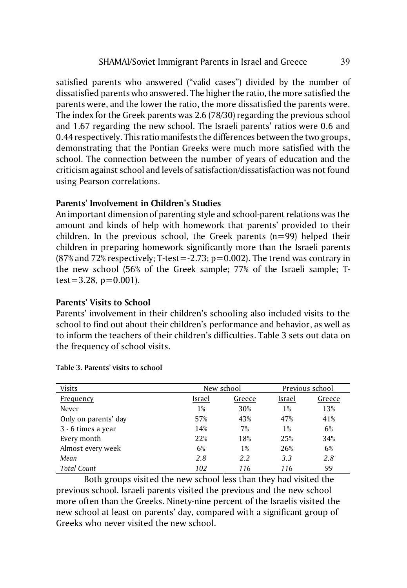satisfied parents who answered ("valid cases") divided by the number of dissatisfied parents who answered. The higher the ratio, the more satisfied the parents were, and the lower the ratio, the more dissatisfied the parents were. The index for the Greek parents was 2.6 (78/30) regarding the previous school and 1.67 regarding the new school. The Israeli parents' ratios were 0.6 and 0.44 respectively. This ratio manifests the differences between the two groups, demonstrating that the Pontian Greeks were much more satisfied with the school. The connection between the number of years of education and the criticism against school and levels of satisfaction/dissatisfaction was not found using Pearson correlations.

# **Parents' Involvement in Children's Studies**

An important dimension of parenting style and school-parent relations was the amount and kinds of help with homework that parents' provided to their children. In the previous school, the Greek parents  $(n=99)$  helped their children in preparing homework significantly more than the Israeli parents (87% and 72% respectively; T-test = -2.73;  $p=0.002$ ). The trend was contrary in the new school (56% of the Greek sample; 77% of the Israeli sample; Ttest=3.28,  $p=0.001$ ).

## **Parents' Visits to School**

Parents' involvement in their children's schooling also included visits to the school to find out about their children's performance and behavior, as well as to inform the teachers of their children's difficulties. Table 3 sets out data on the frequency of school visits.

| <b>Visits</b>        | New school |        | Previous school |        |
|----------------------|------------|--------|-----------------|--------|
| Frequency            | Israel     | Greece | Israel          | Greece |
| Never                | $1\%$      | 30%    | $1\%$           | 13%    |
| Only on parents' day | 57%        | 43%    | 47%             | 41%    |
| 3 - 6 times a year   | 14%        | 7%     | $1\%$           | 6%     |
| Every month          | 22%        | 18%    | 25%             | 34%    |
| Almost every week    | 6%         | $1\%$  | 26%             | 6%     |
| Mean                 | 2.8        | 2.2    | 3.3             | 2.8    |
| <b>Total Count</b>   | 102        | 116    | 116             | 99     |

**Table 3. Parents' visits to school**

Both groups visited the new school less than they had visited the previous school. Israeli parents visited the previous and the new school more often than the Greeks. Ninety-nine percent of the Israelis visited the new school at least on parents' day, compared with a significant group of Greeks who never visited the new school.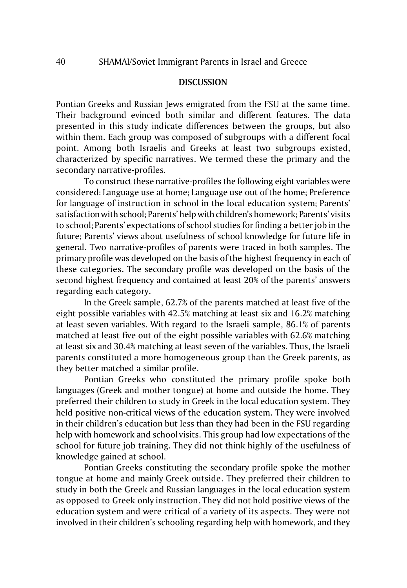#### **DISCUSSION**

Pontian Greeks and Russian Jews emigrated from the FSU at the same time. Their background evinced both similar and different features. The data presented in this study indicate differences between the groups, but also within them. Each group was composed of subgroups with a different focal point. Among both Israelis and Greeks at least two subgroups existed, characterized by specific narratives. We termed these the primary and the secondary narrative-profiles.

To construct these narrative-profiles the following eight variables were considered: Language use at home; Language use out of the home; Preference for language of instruction in school in the local education system; Parents' satisfaction with school; Parents' help with children's homework; Parents' visits to school; Parents' expectations of school studies for finding a better job in the future; Parents' views about usefulness of school knowledge for future life in general. Two narrative-profiles of parents were traced in both samples. The primary profile was developed on the basis of the highest frequency in each of these categories. The secondary profile was developed on the basis of the second highest frequency and contained at least 20% of the parents' answers regarding each category.

In the Greek sample, 62.7% of the parents matched at least five of the eight possible variables with 42.5% matching at least six and 16.2% matching at least seven variables. With regard to the Israeli sample, 86.1% of parents matched at least five out of the eight possible variables with 62.6% matching at least six and 30.4% matching at least seven of the variables. Thus, the Israeli parents constituted a more homogeneous group than the Greek parents, as they better matched a similar profile.

Pontian Greeks who constituted the primary profile spoke both languages (Greek and mother tongue) at home and outside the home. They preferred their children to study in Greek in the local education system. They held positive non-critical views of the education system. They were involved in their children's education but less than they had been in the FSU regarding help with homework and school visits. This group had low expectations of the school for future job training. They did not think highly of the usefulness of knowledge gained at school.

Pontian Greeks constituting the secondary profile spoke the mother tongue at home and mainly Greek outside. They preferred their children to study in both the Greek and Russian languages in the local education system as opposed to Greek only instruction. They did not hold positive views of the education system and were critical of a variety of its aspects. They were not involved in their children's schooling regarding help with homework, and they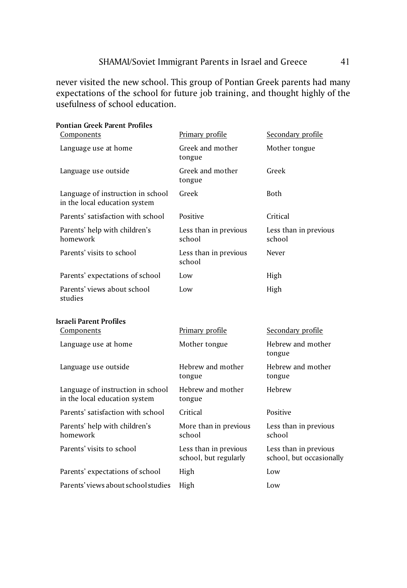never visited the new school. This group of Pontian Greek parents had many expectations of the school for future job training, and thought highly of the usefulness of school education.

| Components                                                         | Primary profile                                | Secondary profile                                 |  |
|--------------------------------------------------------------------|------------------------------------------------|---------------------------------------------------|--|
| Language use at home                                               | Greek and mother<br>tongue                     | Mother tongue                                     |  |
| Language use outside                                               | Greek and mother<br>tongue                     | Greek                                             |  |
| Language of instruction in school<br>in the local education system | Greek                                          | <b>Both</b>                                       |  |
| Parents' satisfaction with school                                  | Positive                                       | Critical                                          |  |
| Parents' help with children's<br>homework                          | Less than in previous<br>school                | Less than in previous<br>school                   |  |
| Parents' visits to school                                          | Less than in previous<br>school                | Never                                             |  |
| Parents' expectations of school                                    | Low                                            | High                                              |  |
| Parents' views about school<br>studies                             | Low                                            | High                                              |  |
| <b>Israeli Parent Profiles</b>                                     |                                                |                                                   |  |
| <b>Components</b>                                                  | Primary profile                                | Secondary profile                                 |  |
| Language use at home                                               | Mother tongue                                  | Hebrew and mother<br>tongue                       |  |
| Language use outside                                               | Hebrew and mother<br>tongue                    | Hebrew and mother<br>tongue                       |  |
| Language of instruction in school<br>in the local education system | Hebrew and mother<br>tongue                    | Hebrew                                            |  |
| Parents' satisfaction with school                                  | Critical                                       | Positive                                          |  |
| Parents' help with children's<br>homework                          | More than in previous<br>school                | Less than in previous<br>school                   |  |
| Parents' visits to school                                          | Less than in previous<br>school, but regularly | Less than in previous<br>school, but occasionally |  |
| Parents' expectations of school                                    | High                                           | Low                                               |  |
| Parents' views about school studies                                | High                                           | Low                                               |  |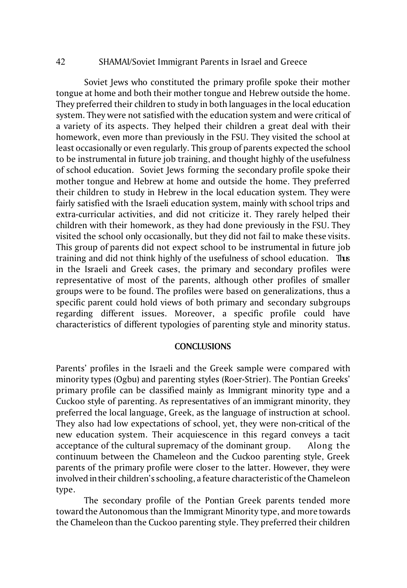Soviet Jews who constituted the primary profile spoke their mother tongue at home and both their mother tongue and Hebrew outside the home. They preferred their children to study in both languages in the local education system. They were not satisfied with the education system and were critical of a variety of its aspects. They helped their children a great deal with their homework, even more than previously in the FSU. They visited the school at least occasionally or even regularly. This group of parents expected the school to be instrumental in future job training, and thought highly of the usefulness of school education. Soviet Jews forming the secondary profile spoke their mother tongue and Hebrew at home and outside the home. They preferred their children to study in Hebrew in the local education system. They were fairly satisfied with the Israeli education system, mainly with school trips and extra-curricular activities, and did not criticize it. They rarely helped their children with their homework, as they had done previously in the FSU. They visited the school only occasionally, but they did not fail to make these visits. This group of parents did not expect school to be instrumental in future job training and did not think highly of the usefulness of school education. Thus in the Israeli and Greek cases, the primary and secondary profiles were representative of most of the parents, although other profiles of smaller groups were to be found. The profiles were based on generalizations, thus a specific parent could hold views of both primary and secondary subgroups regarding different issues. Moreover, a specific profile could have characteristics of different typologies of parenting style and minority status.

#### **CONCLUSIONS**

Parents' profiles in the Israeli and the Greek sample were compared with minority types (Ogbu) and parenting styles (Roer-Strier). The Pontian Greeks' primary profile can be classified mainly as Immigrant minority type and a Cuckoo style of parenting. As representatives of an immigrant minority, they preferred the local language, Greek, as the language of instruction at school. They also had low expectations of school, yet, they were non-critical of the new education system. Their acquiescence in this regard conveys a tacit acceptance of the cultural supremacy of the dominant group. Along the continuum between the Chameleon and the Cuckoo parenting style, Greek parents of the primary profile were closer to the latter. However, they were involved in their children's schooling, a feature characteristic of the Chameleon type.

The secondary profile of the Pontian Greek parents tended more toward the Autonomous than the Immigrant Minority type, and more towards the Chameleon than the Cuckoo parenting style. They preferred their children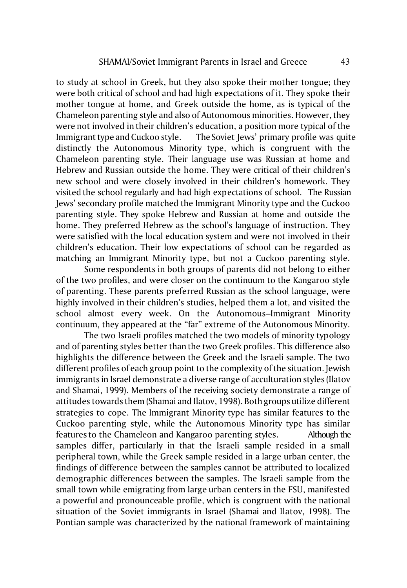to study at school in Greek, but they also spoke their mother tongue; they were both critical of school and had high expectations of it. They spoke their mother tongue at home, and Greek outside the home, as is typical of the Chameleon parenting style and also of Autonomous minorities. However, they were not involved in their children's education, a position more typical of the Immigrant type and Cuckoo style. TheSoviet Jews' primary profile was quite distinctly the Autonomous Minority type, which is congruent with the Chameleon parenting style. Their language use was Russian at home and Hebrew and Russian outside the home. They were critical of their children's new school and were closely involved in their children's homework. They visited the school regularly and had high expectations of school. The Russian Jews' secondary profile matched the Immigrant Minority type and the Cuckoo parenting style. They spoke Hebrew and Russian at home and outside the home. They preferred Hebrew as the school's language of instruction. They were satisfied with the local education system and were not involved in their children's education. Their low expectations of school can be regarded as matching an Immigrant Minority type, but not a Cuckoo parenting style.

Some respondents in both groups of parents did not belong to either of the two profiles, and were closer on the continuum to the Kangaroo style of parenting. These parents preferred Russian as the school language, were highly involved in their children's studies, helped them a lot, and visited the school almost every week. On the Autonomous–Immigrant Minority continuum, they appeared at the "far" extreme of the Autonomous Minority.

The two Israeli profiles matched the two models of minority typology and of parenting styles better than the two Greek profiles. This difference also highlights the difference between the Greek and the Israeli sample. The two different profiles of each group point to the complexity of the situation. Jewish immigrants in Israel demonstrate a diverse range of acculturation styles (Ilatov and Shamai, 1999). Members of the receiving society demonstrate a range of attitudes towards them (Shamai and Ilatov, 1998). Both groups utilize different strategies to cope. The Immigrant Minority type has similar features to the Cuckoo parenting style, while the Autonomous Minority type has similar features to the Chameleon and Kangaroo parenting styles. Although the samples differ, particularly in that the Israeli sample resided in a small peripheral town, while the Greek sample resided in a large urban center, the findings of difference between the samples cannot be attributed to localized demographic differences between the samples. The Israeli sample from the small town while emigrating from large urban centers in the FSU, manifested a powerful and pronounceable profile, which is congruent with the national situation of the Soviet immigrants in Israel (Shamai and Ilatov, 1998). The Pontian sample was characterized by the national framework of maintaining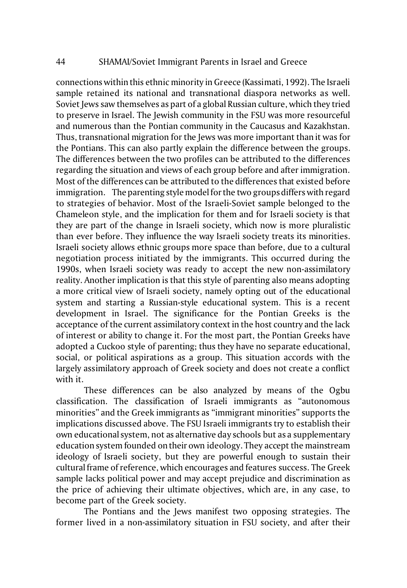connections within this ethnic minority in Greece (Kassimati, 1992). The Israeli sample retained its national and transnational diaspora networks as well. Soviet Jews saw themselves as part of a global Russian culture, which they tried to preserve in Israel. The Jewish community in the FSU was more resourceful and numerous than the Pontian community in the Caucasus and Kazakhstan. Thus, transnational migration for the Jews was more important than it was for the Pontians. This can also partly explain the difference between the groups. The differences between the two profiles can be attributed to the differences regarding the situation and views of each group before and after immigration. Most of the differences can be attributed to the differences that existed before immigration. The parenting style model for the two groups differs with regard to strategies of behavior. Most of the Israeli-Soviet sample belonged to the Chameleon style, and the implication for them and for Israeli society is that they are part of the change in Israeli society, which now is more pluralistic than ever before. They influence the way Israeli society treats its minorities. Israeli society allows ethnic groups more space than before, due to a cultural negotiation process initiated by the immigrants. This occurred during the 1990s, when Israeli society was ready to accept the new non-assimilatory reality. Another implication is that this style of parenting also means adopting a more critical view of Israeli society, namely opting out of the educational system and starting a Russian-style educational system. This is a recent development in Israel. The significance for the Pontian Greeks is the acceptance of the current assimilatory context in the host country and the lack of interest or ability to change it. For the most part, the Pontian Greeks have adopted a Cuckoo style of parenting; thus they have no separate educational, social, or political aspirations as a group. This situation accords with the largely assimilatory approach of Greek society and does not create a conflict with it.

These differences can be also analyzed by means of the Ogbu classification. The classification of Israeli immigrants as "autonomous minorities" and the Greek immigrants as "immigrant minorities" supports the implications discussed above. The FSU Israeli immigrants try to establish their own educational system, not as alternative day schools but as a supplementary education system founded on their own ideology. They accept the mainstream ideology of Israeli society, but they are powerful enough to sustain their cultural frame of reference, which encourages and features success. The Greek sample lacks political power and may accept prejudice and discrimination as the price of achieving their ultimate objectives, which are, in any case, to become part of the Greek society.

The Pontians and the Jews manifest two opposing strategies. The former lived in a non-assimilatory situation in FSU society, and after their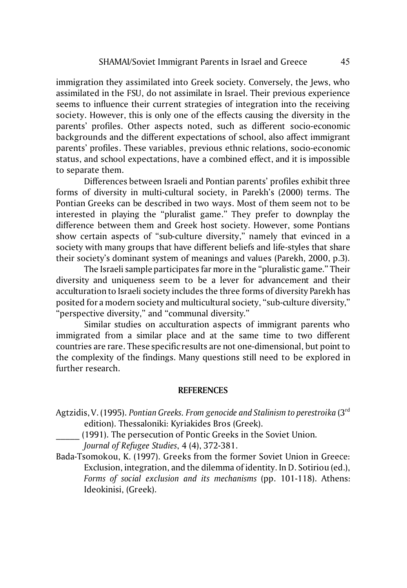immigration they assimilated into Greek society. Conversely, the Jews, who assimilated in the FSU, do not assimilate in Israel. Their previous experience seems to influence their current strategies of integration into the receiving society. However, this is only one of the effects causing the diversity in the parents' profiles. Other aspects noted, such as different socio-economic backgrounds and the different expectations of school, also affect immigrant parents' profiles. These variables, previous ethnic relations, socio-economic status, and school expectations, have a combined effect, and it is impossible to separate them.

Differences between Israeli and Pontian parents' profiles exhibit three forms of diversity in multi-cultural society, in Parekh's (2000) terms. The Pontian Greeks can be described in two ways. Most of them seem not to be interested in playing the "pluralist game." They prefer to downplay the difference between them and Greek host society. However, some Pontians show certain aspects of "sub-culture diversity," namely that evinced in a society with many groups that have different beliefs and life-styles that share their society's dominant system of meanings and values (Parekh, 2000, p.3).

The Israeli sample participates far more in the "pluralistic game." Their diversity and uniqueness seem to be a lever for advancement and their acculturation to Israeli society includes the three forms of diversity Parekh has posited for a modern society and multicultural society, "sub-culture diversity," "perspective diversity," and "communal diversity."

Similar studies on acculturation aspects of immigrant parents who immigrated from a similar place and at the same time to two different countries are rare. These specific results are not one-dimensional, but point to the complexity of the findings. Many questions still need to be explored in further research.

#### **REFERENCES**

- Agtzidis, V. (1995). *Pontian Greeks. From genocide and Stalinism to perestroika* (3rd edition). Thessaloniki: Kyriakides Bros (Greek).
	- \_\_\_\_\_ (1991). The persecution of Pontic Greeks in the Soviet Union.

*Journal of Refugee Studies*, 4 (4), 372-381.

Bada-Tsomokou, K. (1997). Greeks from the former Soviet Union in Greece: Exclusion, integration, and the dilemma of identity. In D. Sotiriou (ed.), *Forms of social exclusion and its mechanisms* (pp. 101-118). Athens: Ideokinisi, (Greek).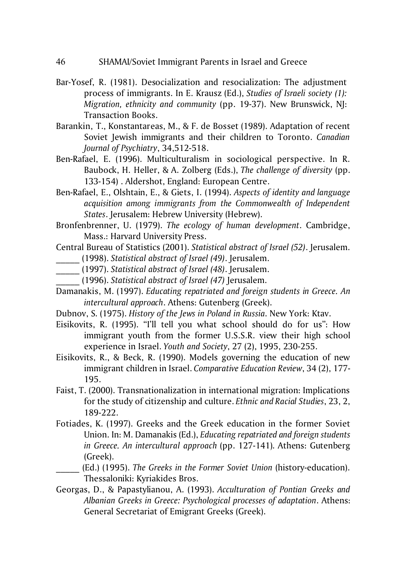- Bar-Yosef, R. (1981). Desocialization and resocialization: The adjustment process of immigrants. In E. Krausz (Ed.), *Studies of Israeli society (1): Migration, ethnicity and community* (pp. 19-37). New Brunswick, NJ: Transaction Books.
- Barankin, T., Konstantareas, M., & F. de Bosset (1989). Adaptation of recent Soviet Jewish immigrants and their children to Toronto. *Canadian Journal of Psychiatry*, 34,512-518.
- Ben-Rafael, E. (1996). Multiculturalism in sociological perspective. In R. Baubock, H. Heller, & A. Zolberg (Eds.), *The challenge of diversity* (pp. 133-154) . Aldershot, England: European Centre.
- Ben-Rafael, E., Olshtain, E., & Giets, I. (1994). *Aspects of identity and language acquisition among immigrants from the Commonwealth of Independent States*. Jerusalem: Hebrew University (Hebrew).
- Bronfenbrenner, U. (1979). *The ecology of human development*. Cambridge, Mass.: Harvard University Press.
- Central Bureau of Statistics (2001). *Statistical abstract of Israel (52)*. Jerusalem. \_\_\_\_\_ (1998). *Statistical abstract of Israel (49)*. Jerusalem.
- \_\_\_\_\_ (1997). *Statistical abstract of Israel (48)*. Jerusalem.
- \_\_\_\_\_ (1996). *Statistical abstract of Israel (47)* Jerusalem.
- Damanakis, M. (1997). *Educating repatriated and foreign students in Greece. An intercultural approach*. Athens: Gutenberg (Greek).
- Dubnov, S. (1975). *History of the Jews in Poland in Russia*. New York: Ktav.
- Eisikovits, R. (1995). "I'll tell you what school should do for us": How immigrant youth from the former U.S.S.R. view their high school experience in Israel. *Youth and Society*, 27 (2), 1995, 230-255.
- Eisikovits, R., & Beck, R. (1990). Models governing the education of new immigrant children in Israel. *Comparative Education Review*, 34 (2), 177- 195.
- Faist, T. (2000). Transnationalization in international migration: Implications for the study of citizenship and culture. *Ethnic and Racial Studies*, 23, 2, 189-222.
- Fotiades, K. (1997). Greeks and the Greek education in the former Soviet Union. In: M. Damanakis (Ed.), *Educating repatriated and foreign students in Greece. An intercultural approach* (pp. 127-141). Athens: Gutenberg (Greek).
	- \_\_\_\_\_ (Ed.) (1995). *The Greeks in the Former Soviet Union* (history-education). Thessaloniki: Kyriakides Bros.
- Georgas, D., & Papastylianou, A. (1993). *Acculturation of Pontian Greeks and Albanian Greeks in Greece: Psychological processes of adaptation*. Athens: General Secretariat of Emigrant Greeks (Greek).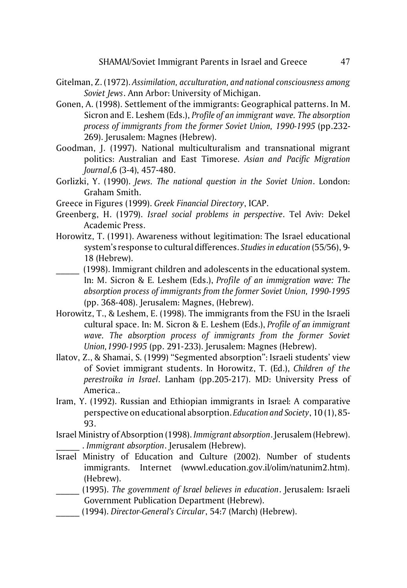- Gitelman, Z. (1972). *Assimilation, acculturation, and national consciousness among Soviet Jews*. Ann Arbor: University of Michigan.
- Gonen, A. (1998). Settlement of the immigrants: Geographical patterns. In M. Sicron and E. Leshem (Eds.), *Profile of an immigrant wave. The absorption process of immigrants from the former Soviet Union, 1990-1995* (pp.232- 269). Jerusalem: Magnes (Hebrew).
- Goodman, J. (1997). National multiculturalism and transnational migrant politics: Australian and East Timorese. *Asian and Pacific Migration Journal*,6 (3-4), 457-480.
- Gorlizki, Y. (1990). *Jews. The national question in the Soviet Union*. London: Graham Smith.
- Greece in Figures (1999). *Greek Financial Directory*, ICAP.
- Greenberg, H. (1979). *Israel social problems in perspective*. Tel Aviv: Dekel Academic Press.
- Horowitz, T. (1991). Awareness without legitimation: The Israel educational system's response to cultural differences. *Studies in education* (55/56), 9- 18 (Hebrew).
- \_\_\_\_\_ (1998). Immigrant children and adolescents in the educational system. In: M. Sicron & E. Leshem (Eds.), *Profile of an immigration wave: The absorption process of immigrants from the former Soviet Union, 1990-1995* (pp. 368-408). Jerusalem: Magnes, (Hebrew).
- Horowitz, T., & Leshem, E. (1998). The immigrants from the FSU in the Israeli cultural space. In: M. Sicron & E. Leshem (Eds.), *Profile of an immigrant wave. The absorption process of immigrants from the former Soviet Union,1990-1995* (pp. 291-233). Jerusalem: Magnes (Hebrew).
- Ilatov, Z., & Shamai, S. (1999) "Segmented absorption": Israeli students' view of Soviet immigrant students. In Horowitz, T. (Ed.), *Children of the perestroika in Israel*. Lanham (pp.205-217). MD: University Press of America..
- Iram, Y. (1992). Russian and Ethiopian immigrants in Israel: A comparative perspective on educational absorption. *Education and Society*, 10 (1), 85- 93.
- Israel Ministry of Absorption (1998). *Immigrant absorption*. Jerusalem (Hebrew). \_\_\_\_\_ . *Immigrant absorption*. Jerusalem (Hebrew).
- Israel Ministry of Education and Culture (2002). Number of students immigrants. Internet (wwwl.education.gov.il/olim/natunim2.htm). (Hebrew).
- \_\_\_\_\_ (1995). *The government of Israel believes in education*. Jerusalem: Israeli Government Publication Department (Hebrew).
- \_\_\_\_\_ (1994). *Director-General's Circular*, 54:7 (March) (Hebrew).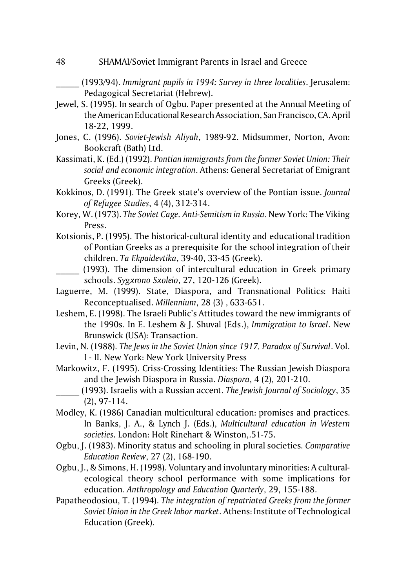- 48 SHAMAI/Soviet Immigrant Parents in Israel and Greece
	- \_\_\_\_\_ (1993/94). *Immigrant pupils in 1994: Survey in three localities*. Jerusalem: Pedagogical Secretariat (Hebrew).
- Jewel, S. (1995). In search of Ogbu. Paper presented at the Annual Meeting of the American Educational Research Association, San Francisco, CA. April 18-22, 1999.
- Jones, C. (1996). *Soviet-Jewish Aliyah*, 1989-92. Midsummer, Norton, Avon: Bookcraft (Bath) Ltd.
- Kassimati, K. (Ed.) (1992). *Pontian immigrants from the former Soviet Union: Their social and economic integration*. Athens: General Secretariat of Emigrant Greeks (Greek).
- Kokkinos, D. (1991). The Greek state's overview of the Pontian issue. *Journal of Refugee Studies*, 4 (4), 312-314.
- Korey, W. (1973). *The Soviet Cage. Anti-Semitism in Russia*. New York: The Viking Press.
- Kotsionis, P. (1995). The historical-cultural identity and educational tradition of Pontian Greeks as a prerequisite for the school integration of their children. *Ta Ekpaidevtika*, 39-40, 33-45 (Greek).
- \_\_\_\_\_ (1993). The dimension of intercultural education in Greek primary schools. *Sygxrono Sxoleio*, 27, 120-126 (Greek).
- Laguerre, M. (1999). State, Diaspora, and Transnational Politics: Haiti Reconceptualised. *Millennium*, 28 (3) , 633-651.
- Leshem, E. (1998). The Israeli Public's Attitudes toward the new immigrants of the 1990s. In E. Leshem & J. Shuval (Eds.), *Immigration to Israel*. New Brunswick (USA): Transaction.
- Levin, N. (1988). *The Jews in the Soviet Union since 1917. Paradox of Survival*. Vol. I - II. New York: New York University Press
- Markowitz, F. (1995). Criss-Crossing Identities: The Russian Jewish Diaspora and the Jewish Diaspora in Russia. *Diaspora*, 4 (2), 201-210.
	- \_\_\_\_\_ (1993). Israelis with a Russian accent. *The Jewish Journal of Sociology*, 35 (2), 97-114.
- Modley, K. (1986) Canadian multicultural education: promises and practices. In Banks, J. A., & Lynch J. (Eds.), *Multicultural education in Western societies*. London: Holt Rinehart & Winston,.51-75.
- Ogbu, J. (1983). Minority status and schooling in plural societies. *Comparative Education Review*, 27 (2), 168-190.
- Ogbu, J., & Simons, H. (1998). Voluntary and involuntary minorities: A culturalecological theory school performance with some implications for education. *Anthropology and Education Quarterly*, 29, 155-188.
- Papatheodosiou, T. (1994). *The integration of repatriated Greeks from the former Soviet Union in the Greek labor market*. Athens: Institute of Technological Education (Greek).